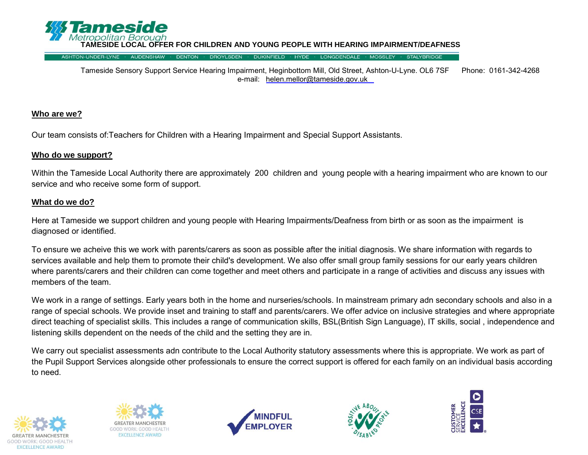

**OFFER FOR CHILDREN AND YOUNG PEOPLE WITH HEARING IMPAIRMENT/DEAFNESS** 

Tameside Sensory Support Service Hearing Impairment, Heginbottom Mill, Old Street, Ashton-U-Lyne. OL6 7SF Phone: 0161-342-4268 e-mail: helen.mellor@tameside.gov.uk

#### **Who are we?**

Our team consists of:Teachers for Children with a Hearing Impairment and Special Support Assistants.

#### **Who do we support?**

Within the Tameside Local Authority there are approximately 200 children and young people with a hearing impairment who are known to our service and who receive some form of support.

#### **What do we do?**

Here at Tameside we support children and young people with Hearing Impairments/Deafness from birth or as soon as the impairment is diagnosed or identified.

To ensure we acheive this we work with parents/carers as soon as possible after the initial diagnosis. We share information with regards to services available and help them to promote their child's development. We also offer small group family sessions for our early years children where parents/carers and their children can come together and meet others and participate in a range of activities and discuss any issues with members of the team.

We work in a range of settings. Early years both in the home and nurseries/schools. In mainstream primary adn secondary schools and also in a range of special schools. We provide inset and training to staff and parents/carers. We offer advice on inclusive strategies and where appropriate direct teaching of specialist skills. This includes a range of communication skills, BSL(British Sign Language), IT skills, social , independence and listening skills dependent on the needs of the child and the setting they are in.

We carry out specialist assessments adn contribute to the Local Authority statutory assessments where this is appropriate. We work as part of the Pupil Support Services alongside other professionals to ensure the correct support is offered for each family on an individual basis according to need.









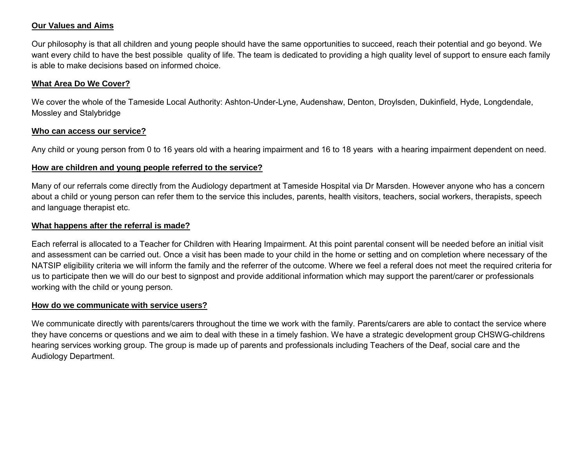### **Our Values and Aims**

Our philosophy is that all children and young people should have the same opportunities to succeed, reach their potential and go beyond. We want every child to have the best possible quality of life. The team is dedicated to providing a high quality level of support to ensure each family is able to make decisions based on informed choice.

#### **What Area Do We Cover?**

We cover the whole of the Tameside Local Authority: Ashton-Under-Lyne, Audenshaw, Denton, Droylsden, Dukinfield, Hyde, Longdendale, Mossley and Stalybridge

#### **Who can access our service?**

Any child or young person from 0 to 16 years old with a hearing impairment and 16 to 18 years with a hearing impairment dependent on need.

## **How are children and young people referred to the service?**

Many of our referrals come directly from the Audiology department at Tameside Hospital via Dr Marsden. However anyone who has a concern about a child or young person can refer them to the service this includes, parents, health visitors, teachers, social workers, therapists, speech and language therapist etc.

### **What happens after the referral is made?**

Each referral is allocated to a Teacher for Children with Hearing Impairment. At this point parental consent will be needed before an initial visit and assessment can be carried out. Once a visit has been made to your child in the home or setting and on completion where necessary of the NATSIP eligibility criteria we will inform the family and the referrer of the outcome. Where we feel a referal does not meet the required criteria for us to participate then we will do our best to signpost and provide additional information which may support the parent/carer or professionals working with the child or young person.

#### **How do we communicate with service users?**

We communicate directly with parents/carers throughout the time we work with the family. Parents/carers are able to contact the service where they have concerns or questions and we aim to deal with these in a timely fashion. We have a strategic development group CHSWG-childrens hearing services working group. The group is made up of parents and professionals including Teachers of the Deaf, social care and the Audiology Department.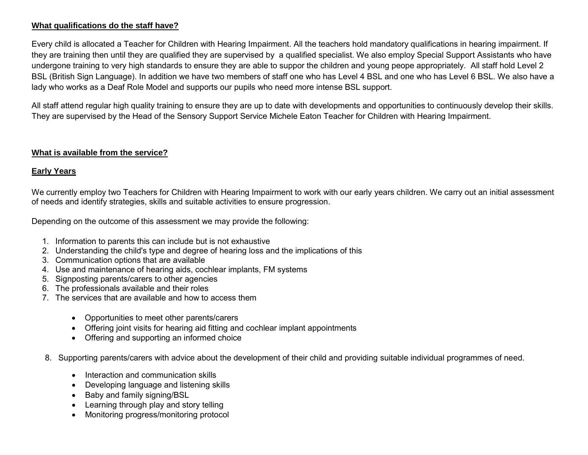## **What qualifications do the staff have?**

Every child is allocated a Teacher for Children with Hearing Impairment. All the teachers hold mandatory qualifications in hearing impairment. If they are training then until they are qualified they are supervised by a qualified specialist. We also employ Special Support Assistants who have undergone training to very high standards to ensure they are able to suppor the children and young peope appropriately. All staff hold Level 2 BSL (British Sign Language). In addition we have two members of staff one who has Level 4 BSL and one who has Level 6 BSL. We also have a lady who works as a Deaf Role Model and supports our pupils who need more intense BSL support.

All staff attend regular high quality training to ensure they are up to date with developments and opportunities to continuously develop their skills. They are supervised by the Head of the Sensory Support Service Michele Eaton Teacher for Children with Hearing Impairment.

## **What is available from the service?**

#### **Early Years**

We currently employ two Teachers for Children with Hearing Impairment to work with our early years children. We carry out an initial assessment of needs and identify strategies, skills and suitable activities to ensure progression.

Depending on the outcome of this assessment we may provide the following:

- 1. Information to parents this can include but is not exhaustive
- 2. Understanding the child's type and degree of hearing loss and the implications of this
- 3. Communication options that are available
- 4. Use and maintenance of hearing aids, cochlear implants, FM systems
- 5. Signposting parents/carers to other agencies
- 6. The professionals available and their roles
- 7. The services that are available and how to access them
	- Opportunities to meet other parents/carers
	- Offering joint visits for hearing aid fitting and cochlear implant appointments
	- Offering and supporting an informed choice
- 8. Supporting parents/carers with advice about the development of their child and providing suitable individual programmes of need.
	- Interaction and communication skills
	- Developing language and listening skills
	- Baby and family signing/BSL
	- Learning through play and story telling
	- Monitoring progress/monitoring protocol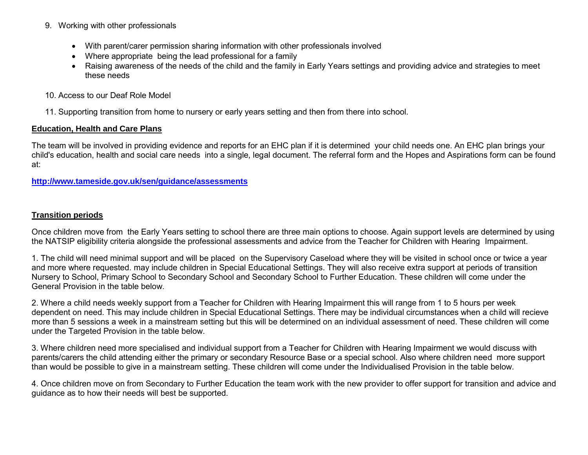- 9. Working with other professionals
	- With parent/carer permission sharing information with other professionals involved
	- Where appropriate being the lead professional for a family
	- Raising awareness of the needs of the child and the family in Early Years settings and providing advice and strategies to meet these needs
- 10. Access to our Deaf Role Model
- 11. Supporting transition from home to nursery or early years setting and then from there into school.

#### **Education, Health and Care Plans**

The team will be involved in providing evidence and reports for an EHC plan if it is determined your child needs one. An EHC plan brings your child's education, health and social care needs into a single, legal document. The referral form and the Hopes and Aspirations form can be found at:

**<http://www.tameside.gov.uk/sen/guidance/assessments>**

#### **Transition periods**

Once children move from the Early Years setting to school there are three main options to choose. Again support levels are determined by using the NATSIP eligibility criteria alongside the professional assessments and advice from the Teacher for Children with Hearing Impairment.

1. The child will need minimal support and will be placed on the Supervisory Caseload where they will be visited in school once or twice a year and more where requested. may include children in Special Educational Settings. They will also receive extra support at periods of transition Nursery to School, Primary School to Secondary School and Secondary School to Further Education. These children will come under the General Provision in the table below.

2. Where a child needs weekly support from a Teacher for Children with Hearing Impairment this will range from 1 to 5 hours per week dependent on need. This may include children in Special Educational Settings. There may be individual circumstances when a child will recieve more than 5 sessions a week in a mainstream setting but this will be determined on an individual assessment of need. These children will come under the Targeted Provision in the table below.

3. Where children need more specialised and individual support from a Teacher for Children with Hearing Impairment we would discuss with parents/carers the child attending either the primary or secondary Resource Base or a special school. Also where children need more support than would be possible to give in a mainstream setting. These children will come under the Individualised Provision in the table below.

4. Once children move on from Secondary to Further Education the team work with the new provider to offer support for transition and advice and guidance as to how their needs will best be supported.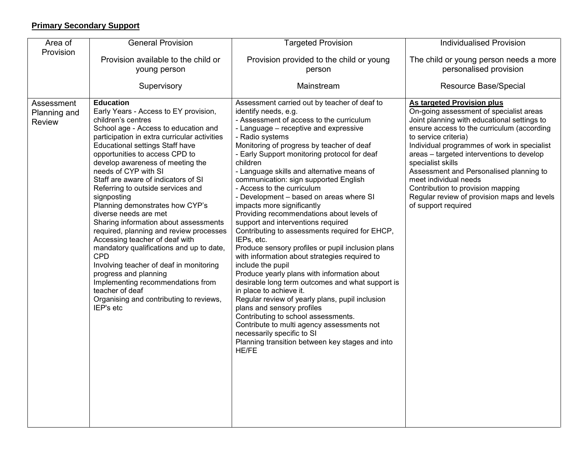# **Primary Secondary Support**

| Area of                                     | <b>General Provision</b>                                                                                                                                                                                                                                                                                                                                                                                                                                                                                                                                                                                                                                                                                                                                                                                                                   | <b>Targeted Provision</b>                                                                                                                                                                                                                                                                                                                                                                                                                                                                                                                                                                                                                                                                                                                                                                                                                                                                                                                                                                                                                                                                                                                                              | <b>Individualised Provision</b>                                                                                                                                                                                                                                                                                                                                                                                                                                                                   |
|---------------------------------------------|--------------------------------------------------------------------------------------------------------------------------------------------------------------------------------------------------------------------------------------------------------------------------------------------------------------------------------------------------------------------------------------------------------------------------------------------------------------------------------------------------------------------------------------------------------------------------------------------------------------------------------------------------------------------------------------------------------------------------------------------------------------------------------------------------------------------------------------------|------------------------------------------------------------------------------------------------------------------------------------------------------------------------------------------------------------------------------------------------------------------------------------------------------------------------------------------------------------------------------------------------------------------------------------------------------------------------------------------------------------------------------------------------------------------------------------------------------------------------------------------------------------------------------------------------------------------------------------------------------------------------------------------------------------------------------------------------------------------------------------------------------------------------------------------------------------------------------------------------------------------------------------------------------------------------------------------------------------------------------------------------------------------------|---------------------------------------------------------------------------------------------------------------------------------------------------------------------------------------------------------------------------------------------------------------------------------------------------------------------------------------------------------------------------------------------------------------------------------------------------------------------------------------------------|
| Provision                                   |                                                                                                                                                                                                                                                                                                                                                                                                                                                                                                                                                                                                                                                                                                                                                                                                                                            |                                                                                                                                                                                                                                                                                                                                                                                                                                                                                                                                                                                                                                                                                                                                                                                                                                                                                                                                                                                                                                                                                                                                                                        |                                                                                                                                                                                                                                                                                                                                                                                                                                                                                                   |
|                                             | Provision available to the child or                                                                                                                                                                                                                                                                                                                                                                                                                                                                                                                                                                                                                                                                                                                                                                                                        | Provision provided to the child or young                                                                                                                                                                                                                                                                                                                                                                                                                                                                                                                                                                                                                                                                                                                                                                                                                                                                                                                                                                                                                                                                                                                               | The child or young person needs a more<br>personalised provision                                                                                                                                                                                                                                                                                                                                                                                                                                  |
|                                             | young person                                                                                                                                                                                                                                                                                                                                                                                                                                                                                                                                                                                                                                                                                                                                                                                                                               | person                                                                                                                                                                                                                                                                                                                                                                                                                                                                                                                                                                                                                                                                                                                                                                                                                                                                                                                                                                                                                                                                                                                                                                 |                                                                                                                                                                                                                                                                                                                                                                                                                                                                                                   |
|                                             | Supervisory                                                                                                                                                                                                                                                                                                                                                                                                                                                                                                                                                                                                                                                                                                                                                                                                                                | Mainstream                                                                                                                                                                                                                                                                                                                                                                                                                                                                                                                                                                                                                                                                                                                                                                                                                                                                                                                                                                                                                                                                                                                                                             | <b>Resource Base/Special</b>                                                                                                                                                                                                                                                                                                                                                                                                                                                                      |
| Assessment<br>Planning and<br><b>Review</b> | <b>Education</b><br>Early Years - Access to EY provision,<br>children's centres<br>School age - Access to education and<br>participation in extra curricular activities<br><b>Educational settings Staff have</b><br>opportunities to access CPD to<br>develop awareness of meeting the<br>needs of CYP with SI<br>Staff are aware of indicators of SI<br>Referring to outside services and<br>signposting<br>Planning demonstrates how CYP's<br>diverse needs are met<br>Sharing information about assessments<br>required, planning and review processes<br>Accessing teacher of deaf with<br>mandatory qualifications and up to date,<br><b>CPD</b><br>Involving teacher of deaf in monitoring<br>progress and planning<br>Implementing recommendations from<br>teacher of deaf<br>Organising and contributing to reviews,<br>IEP's etc | Assessment carried out by teacher of deaf to<br>identify needs, e.g.<br>- Assessment of access to the curriculum<br>- Language - receptive and expressive<br>- Radio systems<br>Monitoring of progress by teacher of deaf<br>- Early Support monitoring protocol for deaf<br>children<br>- Language skills and alternative means of<br>communication: sign supported English<br>- Access to the curriculum<br>- Development - based on areas where SI<br>impacts more significantly<br>Providing recommendations about levels of<br>support and interventions required<br>Contributing to assessments required for EHCP,<br>IEPs, etc.<br>Produce sensory profiles or pupil inclusion plans<br>with information about strategies required to<br>include the pupil<br>Produce yearly plans with information about<br>desirable long term outcomes and what support is<br>in place to achieve it.<br>Regular review of yearly plans, pupil inclusion<br>plans and sensory profiles<br>Contributing to school assessments.<br>Contribute to multi agency assessments not<br>necessarily specific to SI<br>Planning transition between key stages and into<br><b>HE/FE</b> | <b>As targeted Provision plus</b><br>On-going assessment of specialist areas<br>Joint planning with educational settings to<br>ensure access to the curriculum (according<br>to service criteria)<br>Individual programmes of work in specialist<br>areas - targeted interventions to develop<br>specialist skills<br>Assessment and Personalised planning to<br>meet individual needs<br>Contribution to provision mapping<br>Regular review of provision maps and levels<br>of support required |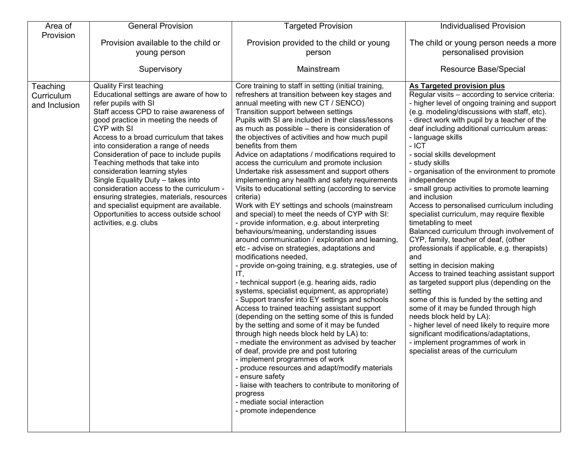| Area of                                 | <b>General Provision</b>                                                                                                                                                                                                                                                                                                                                                                                                                                                                                                                                                                                                | <b>Targeted Provision</b>                                                                                                                                                                                                                                                                                                                                                                                                                                                                                                                                                                                                                                                                                                                                                                                                                                                                                                                                                    | <b>Individualised Provision</b>                                                                                                                                                                                                                                                                                                                                                                                                                                                                                                                                                                                              |
|-----------------------------------------|-------------------------------------------------------------------------------------------------------------------------------------------------------------------------------------------------------------------------------------------------------------------------------------------------------------------------------------------------------------------------------------------------------------------------------------------------------------------------------------------------------------------------------------------------------------------------------------------------------------------------|------------------------------------------------------------------------------------------------------------------------------------------------------------------------------------------------------------------------------------------------------------------------------------------------------------------------------------------------------------------------------------------------------------------------------------------------------------------------------------------------------------------------------------------------------------------------------------------------------------------------------------------------------------------------------------------------------------------------------------------------------------------------------------------------------------------------------------------------------------------------------------------------------------------------------------------------------------------------------|------------------------------------------------------------------------------------------------------------------------------------------------------------------------------------------------------------------------------------------------------------------------------------------------------------------------------------------------------------------------------------------------------------------------------------------------------------------------------------------------------------------------------------------------------------------------------------------------------------------------------|
| Provision                               |                                                                                                                                                                                                                                                                                                                                                                                                                                                                                                                                                                                                                         |                                                                                                                                                                                                                                                                                                                                                                                                                                                                                                                                                                                                                                                                                                                                                                                                                                                                                                                                                                              |                                                                                                                                                                                                                                                                                                                                                                                                                                                                                                                                                                                                                              |
|                                         | Provision available to the child or                                                                                                                                                                                                                                                                                                                                                                                                                                                                                                                                                                                     | Provision provided to the child or young                                                                                                                                                                                                                                                                                                                                                                                                                                                                                                                                                                                                                                                                                                                                                                                                                                                                                                                                     | The child or young person needs a more                                                                                                                                                                                                                                                                                                                                                                                                                                                                                                                                                                                       |
|                                         | young person                                                                                                                                                                                                                                                                                                                                                                                                                                                                                                                                                                                                            | person                                                                                                                                                                                                                                                                                                                                                                                                                                                                                                                                                                                                                                                                                                                                                                                                                                                                                                                                                                       | personalised provision                                                                                                                                                                                                                                                                                                                                                                                                                                                                                                                                                                                                       |
|                                         | Supervisory                                                                                                                                                                                                                                                                                                                                                                                                                                                                                                                                                                                                             | Mainstream                                                                                                                                                                                                                                                                                                                                                                                                                                                                                                                                                                                                                                                                                                                                                                                                                                                                                                                                                                   | Resource Base/Special                                                                                                                                                                                                                                                                                                                                                                                                                                                                                                                                                                                                        |
|                                         |                                                                                                                                                                                                                                                                                                                                                                                                                                                                                                                                                                                                                         |                                                                                                                                                                                                                                                                                                                                                                                                                                                                                                                                                                                                                                                                                                                                                                                                                                                                                                                                                                              |                                                                                                                                                                                                                                                                                                                                                                                                                                                                                                                                                                                                                              |
| Teaching<br>Curriculum<br>and Inclusion | <b>Quality First teaching</b><br>Educational settings are aware of how to<br>refer pupils with SI<br>Staff access CPD to raise awareness of<br>good practice in meeting the needs of<br>CYP with SI<br>Access to a broad curriculum that takes<br>into consideration a range of needs<br>Consideration of pace to include pupils<br>Teaching methods that take into<br>consideration learning styles<br>Single Equality Duty - takes into<br>consideration access to the curriculum -<br>ensuring strategies, materials, resources<br>and specialist equipment are available.<br>Opportunities to access outside school | Core training to staff in setting (initial training,<br>refreshers at transition between key stages and<br>annual meeting with new CT / SENCO)<br>Transition support between settings<br>Pupils with SI are included in their class/lessons<br>as much as possible - there is consideration of<br>the objectives of activities and how much pupil<br>benefits from them<br>Advice on adaptations / modifications required to<br>access the curriculum and promote inclusion<br>Undertake risk assessment and support others<br>implementing any health and safety requirements<br>Visits to educational setting (according to service<br>criteria)<br>Work with EY settings and schools (mainstream<br>and special) to meet the needs of CYP with SI:                                                                                                                                                                                                                        | <b>As Targeted provision plus</b><br>Regular visits - according to service criteria:<br>- higher level of ongoing training and support<br>(e.g. modeling/discussions with staff, etc).<br>- direct work with pupil by a teacher of the<br>deaf including additional curriculum areas:<br>- language skills<br>$-$ ICT<br>- social skills development<br>- study skills<br>- organisation of the environment to promote<br>independence<br>- small group activities to promote learning<br>and inclusion<br>Access to personalised curriculum including<br>specialist curriculum, may require flexible<br>timetabling to meet |
|                                         | activities, e.g. clubs                                                                                                                                                                                                                                                                                                                                                                                                                                                                                                                                                                                                  | - provide information, e.g. about interpreting<br>behaviours/meaning, understanding issues<br>around communication / exploration and learning<br>etc - advise on strategies, adaptations and<br>modifications needed,<br>- provide on-going training, e.g. strategies, use of<br>IT,<br>- technical support (e.g. hearing aids, radio<br>systems, specialist equipment, as appropriate)<br>- Support transfer into EY settings and schools<br>Access to trained teaching assistant support<br>(depending on the setting some of this is funded<br>by the setting and some of it may be funded<br>through high needs block held by LA) to:<br>- mediate the environment as advised by teacher<br>of deaf, provide pre and post tutoring<br>- implement programmes of work<br>- produce resources and adapt/modify materials<br>- ensure safety<br>- liaise with teachers to contribute to monitoring of<br>progress<br>- mediate social interaction<br>- promote independence | Balanced curriculum through involvement of<br>CYP, family, teacher of deaf, (other<br>professionals if applicable, e.g. therapists)<br>and<br>setting in decision making<br>Access to trained teaching assistant support<br>as targeted support plus (depending on the<br>setting<br>some of this is funded by the setting and<br>some of it may be funded through high<br>needs block held by LA):<br>- higher level of need likely to require more<br>significant modifications/adaptations,<br>- implement programmes of work in<br>specialist areas of the curriculum                                                    |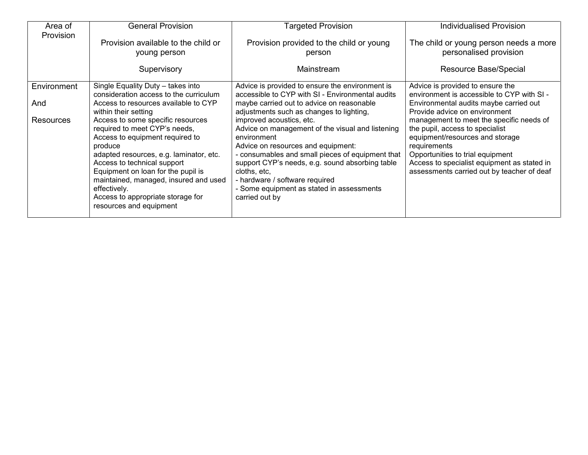| Area of          | <b>General Provision</b>                                                                                                                                                                                                                                                                                                                                  | <b>Targeted Provision</b>                                                                                                                                                                                                                                                                                                                                 | <b>Individualised Provision</b>                                                                                                                                                                                                                                 |
|------------------|-----------------------------------------------------------------------------------------------------------------------------------------------------------------------------------------------------------------------------------------------------------------------------------------------------------------------------------------------------------|-----------------------------------------------------------------------------------------------------------------------------------------------------------------------------------------------------------------------------------------------------------------------------------------------------------------------------------------------------------|-----------------------------------------------------------------------------------------------------------------------------------------------------------------------------------------------------------------------------------------------------------------|
| Provision        | Provision available to the child or                                                                                                                                                                                                                                                                                                                       | Provision provided to the child or young                                                                                                                                                                                                                                                                                                                  | The child or young person needs a more                                                                                                                                                                                                                          |
|                  | young person                                                                                                                                                                                                                                                                                                                                              | person                                                                                                                                                                                                                                                                                                                                                    | personalised provision                                                                                                                                                                                                                                          |
|                  | Supervisory                                                                                                                                                                                                                                                                                                                                               | Mainstream                                                                                                                                                                                                                                                                                                                                                | Resource Base/Special                                                                                                                                                                                                                                           |
| Environment      | Single Equality Duty - takes into                                                                                                                                                                                                                                                                                                                         | Advice is provided to ensure the environment is                                                                                                                                                                                                                                                                                                           | Advice is provided to ensure the                                                                                                                                                                                                                                |
|                  | consideration access to the curriculum                                                                                                                                                                                                                                                                                                                    | accessible to CYP with SI - Environmental audits                                                                                                                                                                                                                                                                                                          | environment is accessible to CYP with SI -                                                                                                                                                                                                                      |
| And              | Access to resources available to CYP                                                                                                                                                                                                                                                                                                                      | maybe carried out to advice on reasonable                                                                                                                                                                                                                                                                                                                 | Environmental audits maybe carried out                                                                                                                                                                                                                          |
|                  | within their setting                                                                                                                                                                                                                                                                                                                                      | adjustments such as changes to lighting,                                                                                                                                                                                                                                                                                                                  | Provide advice on environment                                                                                                                                                                                                                                   |
| <b>Resources</b> | Access to some specific resources<br>required to meet CYP's needs,<br>Access to equipment required to<br>produce<br>adapted resources, e.g. laminator, etc.<br>Access to technical support<br>Equipment on loan for the pupil is<br>maintained, managed, insured and used<br>effectively.<br>Access to appropriate storage for<br>resources and equipment | improved acoustics, etc.<br>Advice on management of the visual and listening<br>environment<br>Advice on resources and equipment:<br>- consumables and small pieces of equipment that<br>support CYP's needs, e.g. sound absorbing table<br>cloths, etc,<br>- hardware / software required<br>- Some equipment as stated in assessments<br>carried out by | management to meet the specific needs of<br>the pupil, access to specialist<br>equipment/resources and storage<br>requirements<br>Opportunities to trial equipment<br>Access to specialist equipment as stated in<br>assessments carried out by teacher of deaf |